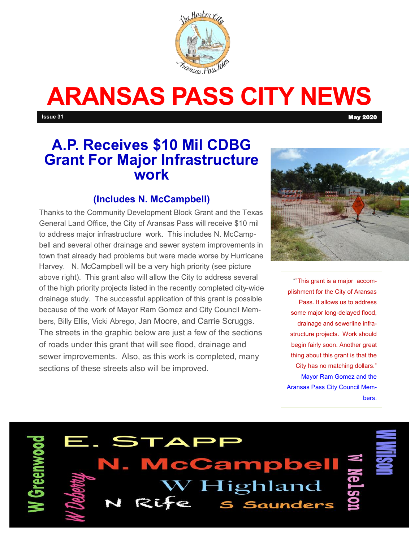

# **ARANSAS PASS CITY NEWS**

**Issue 31** May 2020

## **A.P. Receives \$10 Mil CDBG Grant For Major Infrastructure work**

### **(Includes N. McCampbell)**

Thanks to the Community Development Block Grant and the Texas General Land Office, the City of Aransas Pass will receive \$10 mil to address major infrastructure work. This includes N. McCampbell and several other drainage and sewer system improvements in town that already had problems but were made worse by Hurricane Harvey. N. McCampbell will be a very high priority (see picture above right). This grant also will allow the City to address several of the high priority projects listed in the recently completed city-wide drainage study. The successful application of this grant is possible because of the work of Mayor Ram Gomez and City Council Members, Billy Ellis, Vicki Abrego, Jan Moore, and Carrie Scruggs. The streets in the graphic below are just a few of the sections of roads under this grant that will see flood, drainage and sewer improvements. Also, as this work is completed, many sections of these streets also will be improved.



""This grant is a major accomplishment for the City of Aransas Pass. It allows us to address some major long-delayed flood, drainage and sewerline infrastructure projects. Work should begin fairly soon. Another great thing about this grant is that the City has no matching dollars." Mayor Ram Gomez and the Aransas Pass City Council Members.



**McCampbel** Highland **Saunders** 

 $\blacktriangle \bm{\mathsf{P}}$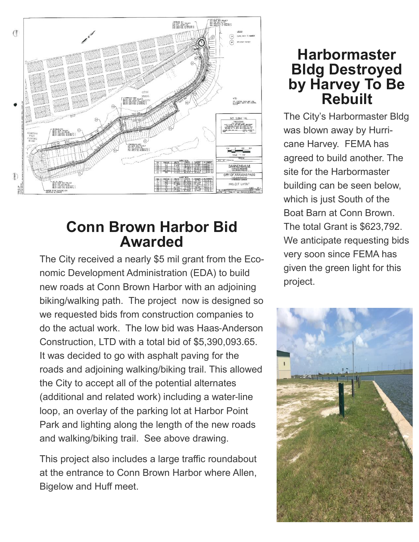

# **Conn Brown Harbor Bid Awarded**

The City received a nearly \$5 mil grant from the Economic Development Administration (EDA) to build new roads at Conn Brown Harbor with an adjoining biking/walking path. The project now is designed so we requested bids from construction companies to do the actual work. The low bid was Haas-Anderson Construction, LTD with a total bid of \$5,390,093.65. It was decided to go with asphalt paving for the roads and adjoining walking/biking trail. This allowed the City to accept all of the potential alternates (additional and related work) including a water-line loop, an overlay of the parking lot at Harbor Point Park and lighting along the length of the new roads and walking/biking trail. See above drawing.

This project also includes a large traffic roundabout at the entrance to Conn Brown Harbor where Allen, Bigelow and Huff meet.

## **Harbormaster Bldg Destroyed by Harvey To Be Rebuilt**

The City's Harbormaster Bldg was blown away by Hurricane Harvey. FEMA has agreed to build another. The site for the Harbormaster building can be seen below, which is just South of the Boat Barn at Conn Brown. The total Grant is \$623,792. We anticipate requesting bids very soon since FEMA has given the green light for this project.

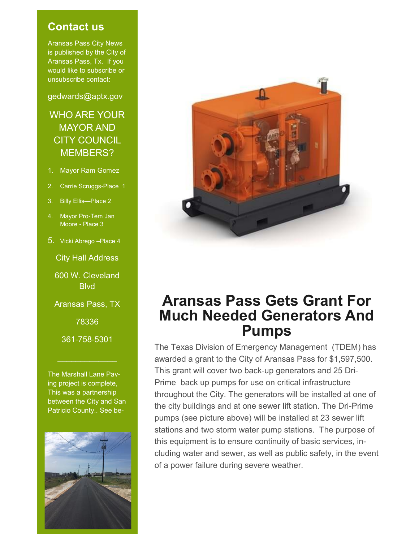#### **Contact us**

Aransas Pass City News is published by the City of Aransas Pass, Tx. If you would like to subscribe or unsubscribe contact:

gedwards@aptx.gov

## WHO ARE YOUR MAYOR AND CITY COUNCIL MEMBERS?

- 1. Mayor Ram Gomez
- 2. Carrie Scruggs-Place 1
- 3. Billy Ellis—Place 2
- 4. Mayor Pro-Tem Jan Moore - Place 3
- 5. Vicki Abrego –Place 4

City Hall Address

600 W. Cleveland **Blvd** 

Aransas Pass, TX

78336

361-758-5301

 $\frac{1}{2}$  ,  $\frac{1}{2}$  ,  $\frac{1}{2}$  ,  $\frac{1}{2}$  ,  $\frac{1}{2}$  ,  $\frac{1}{2}$  ,  $\frac{1}{2}$  ,  $\frac{1}{2}$ 

The Marshall Lane Paving project is complete, This was a partnership between the City and San Patricio County.. See be-





## **Aransas Pass Gets Grant For Much Needed Generators And Pumps**

The Texas Division of Emergency Management (TDEM) has awarded a grant to the City of Aransas Pass for \$1,597,500. This grant will cover two back-up generators and 25 Dri-Prime back up pumps for use on critical infrastructure throughout the City. The generators will be installed at one of the city buildings and at one sewer lift station. The Dri-Prime pumps (see picture above) will be installed at 23 sewer lift stations and two storm water pump stations. The purpose of this equipment is to ensure continuity of basic services, including water and sewer, as well as public safety, in the event of a power failure during severe weather.